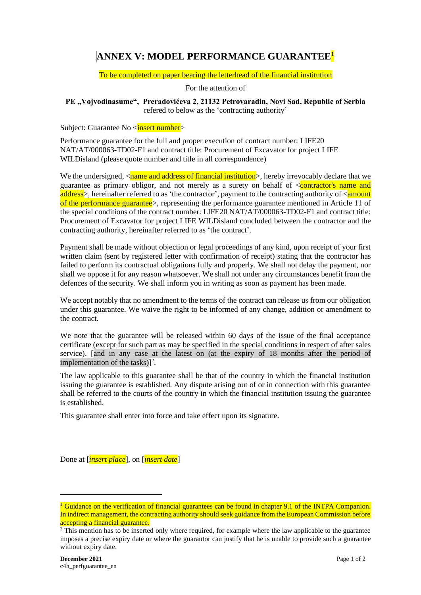## **ANNEX V: MODEL PERFORMANCE GUARANTEE<sup>1</sup>**

## To be completed on paper bearing the letterhead of the financial institution

For the attention of

## PE "Vojvodinasume", Preradovićeva 2, 21132 Petrovaradin, Novi Sad, Republic of Serbia refered to below as the 'contracting authority'

Subject: Guarantee No <insert number>

Performance guarantee for the full and proper execution of contract number: LIFE20 NAT/AT/000063-TD02-F1 and contract title: Procurement of Excavator for project LIFE WILDisland (please quote number and title in all correspondence)

We the undersigned,  $\langle$ name and address of financial institution  $\rangle$ , hereby irrevocably declare that we guarantee as primary obligor, and not merely as a surety on behalf of  $\leq$ **contractor's name and** address>, hereinafter referred to as 'the contractor', payment to the contracting authority of <amount of the performance guarantee>, representing the performance guarantee mentioned in Article 11 of the special conditions of the contract number: LIFE20 NAT/AT/000063-TD02-F1 and contract title: Procurement of Excavator for project LIFE WILDisland concluded between the contractor and the contracting authority, hereinafter referred to as 'the contract'.

Payment shall be made without objection or legal proceedings of any kind, upon receipt of your first written claim (sent by registered letter with confirmation of receipt) stating that the contractor has failed to perform its contractual obligations fully and properly. We shall not delay the payment, nor shall we oppose it for any reason whatsoever. We shall not under any circumstances benefit from the defences of the security. We shall inform you in writing as soon as payment has been made.

We accept notably that no amendment to the terms of the contract can release us from our obligation under this guarantee. We waive the right to be informed of any change, addition or amendment to the contract.

We note that the guarantee will be released within 60 days of the issue of the final acceptance certificate (except for such part as may be specified in the special conditions in respect of after sales service). [and in any case at the latest on (at the expiry of 18 months after the period of implementation of the tasks)]<sup>2</sup>.

The law applicable to this guarantee shall be that of the country in which the financial institution issuing the guarantee is established. Any dispute arising out of or in connection with this guarantee shall be referred to the courts of the country in which the financial institution issuing the guarantee is established.

This guarantee shall enter into force and take effect upon its signature.

Done at [*insert place*], on [*insert date*]

<sup>&</sup>lt;sup>1</sup> Guidance on the verification of financial guarantees can be found in chapter 9.1 of the INTPA Companion. In indirect management, the contracting authority should seek guidance from the European Commission before accepting a financial guarantee.

<sup>&</sup>lt;sup>2</sup> This mention has to be inserted only where required, for example where the law applicable to the guarantee imposes a precise expiry date or where the guarantor can justify that he is unable to provide such a guarantee without expiry date.